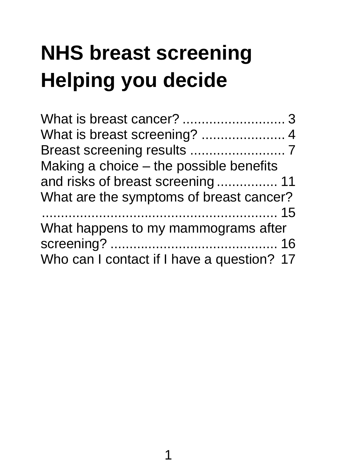# **NHS breast screening Helping you decide**

| Making a choice – the possible benefits    |  |
|--------------------------------------------|--|
| and risks of breast screening 11           |  |
| What are the symptoms of breast cancer?    |  |
|                                            |  |
| What happens to my mammograms after        |  |
|                                            |  |
| Who can I contact if I have a question? 17 |  |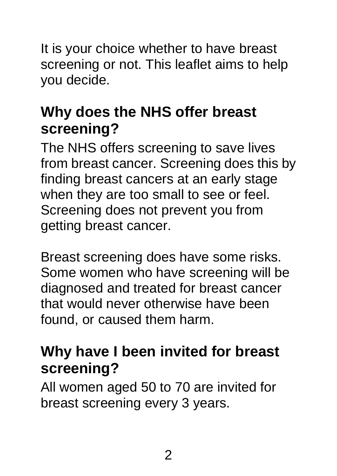It is your choice whether to have breast screening or not. This leaflet aims to help you decide.

## **Why does the NHS offer breast screening?**

The NHS offers screening to save lives from breast cancer. Screening does this by finding breast cancers at an early stage when they are too small to see or feel. Screening does not prevent you from getting breast cancer.

Breast screening does have some risks. Some women who have screening will be diagnosed and treated for breast cancer that would never otherwise have been found, or caused them harm.

#### **Why have I been invited for breast screening?**

All women aged 50 to 70 are invited for breast screening every 3 years.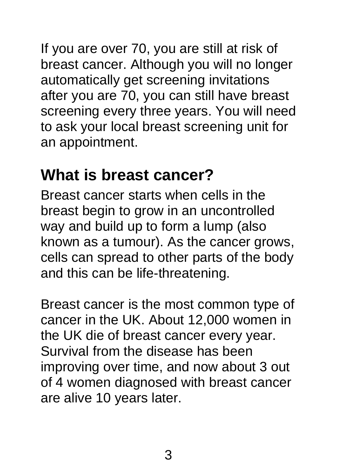If you are over 70, you are still at risk of breast cancer. Although you will no longer automatically get screening invitations after you are 70, you can still have breast screening every three years. You will need to ask your local breast screening unit for an appointment.

## **What is breast cancer?**

Breast cancer starts when cells in the breast begin to grow in an uncontrolled way and build up to form a lump (also known as a tumour). As the cancer grows, cells can spread to other parts of the body and this can be life-threatening.

Breast cancer is the most common type of cancer in the UK. About 12,000 women in the UK die of breast cancer every year. Survival from the disease has been improving over time, and now about 3 out of 4 women diagnosed with breast cancer are alive 10 years later.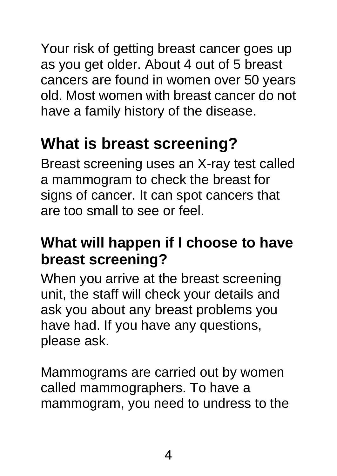Your risk of getting breast cancer goes up as you get older. About 4 out of 5 breast cancers are found in women over 50 years old. Most women with breast cancer do not have a family history of the disease.

# **What is breast screening?**

Breast screening uses an X-ray test called a mammogram to check the breast for signs of cancer. It can spot cancers that are too small to see or feel.

## **What will happen if I choose to have breast screening?**

When you arrive at the breast screening unit, the staff will check your details and ask you about any breast problems you have had. If you have any questions, please ask.

Mammograms are carried out by women called mammographers. To have a mammogram, you need to undress to the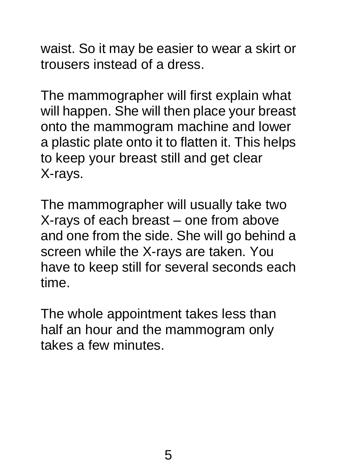waist. So it may be easier to wear a skirt or trousers instead of a dress.

The mammographer will first explain what will happen. She will then place your breast onto the mammogram machine and lower a plastic plate onto it to flatten it. This helps to keep your breast still and get clear X-rays.

The mammographer will usually take two X-rays of each breast – one from above and one from the side. She will go behind a screen while the X-rays are taken. You have to keep still for several seconds each time.

The whole appointment takes less than half an hour and the mammogram only takes a few minutes.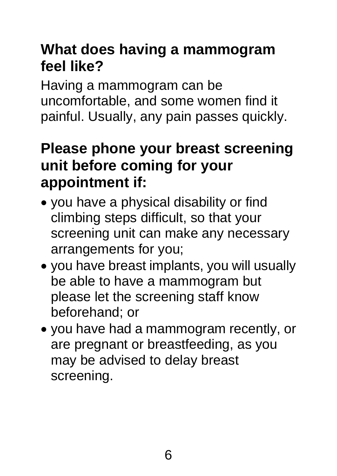## **What does having a mammogram feel like?**

Having a mammogram can be uncomfortable, and some women find it painful. Usually, any pain passes quickly.

#### **Please phone your breast screening unit before coming for your appointment if:**

- you have a physical disability or find climbing steps difficult, so that your screening unit can make any necessary arrangements for you;
- you have breast implants, you will usually be able to have a mammogram but please let the screening staff know beforehand; or
- you have had a mammogram recently, or are pregnant or breastfeeding, as you may be advised to delay breast screening.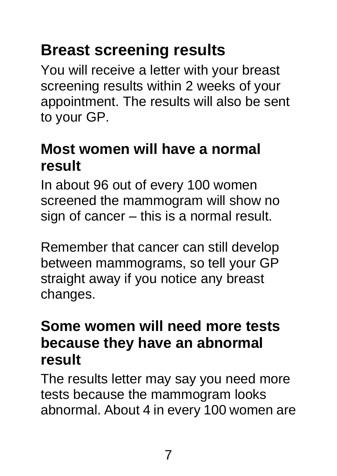# **Breast screening results**

You will receive a letter with your breast screening results within 2 weeks of your appointment. The results will also be sent to your GP.

#### **Most women will have a normal result**

In about 96 out of every 100 women screened the mammogram will show no sign of cancer – this is a normal result.

Remember that cancer can still develop between mammograms, so tell your GP straight away if you notice any breast changes.

#### **Some women will need more tests because they have an abnormal result**

The results letter may say you need more tests because the mammogram looks abnormal. About 4 in every 100 women are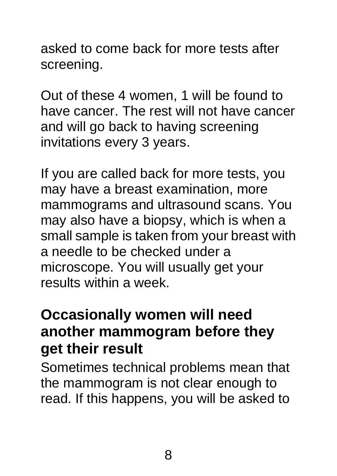asked to come back for more tests after screening.

Out of these 4 women, 1 will be found to have cancer. The rest will not have cancer and will go back to having screening invitations every 3 years.

If you are called back for more tests, you may have a breast examination, more mammograms and ultrasound scans. You may also have a biopsy, which is when a small sample is taken from your breast with a needle to be checked under a microscope. You will usually get your results within a week.

#### **Occasionally women will need another mammogram before they get their result**

Sometimes technical problems mean that the mammogram is not clear enough to read. If this happens, you will be asked to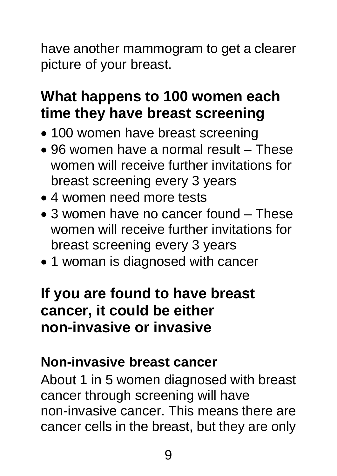have another mammogram to get a clearer picture of your breast.

## **What happens to 100 women each time they have breast screening**

- 100 women have breast screening
- 96 women have a normal result These women will receive further invitations for breast screening every 3 years
- 4 women need more tests
- 3 women have no cancer found These women will receive further invitations for breast screening every 3 years
- 1 woman is diagnosed with cancer

#### **If you are found to have breast cancer, it could be either non-invasive or invasive**

#### **Non-invasive breast cancer**

About 1 in 5 women diagnosed with breast cancer through screening will have non-invasive cancer. This means there are cancer cells in the breast, but they are only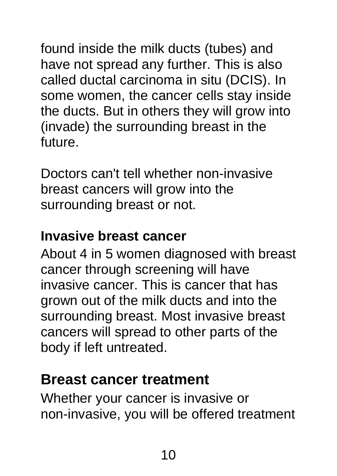found inside the milk ducts (tubes) and have not spread any further. This is also called ductal carcinoma in situ (DCIS). In some women, the cancer cells stay inside the ducts. But in others they will grow into (invade) the surrounding breast in the future.

Doctors can't tell whether non-invasive breast cancers will grow into the surrounding breast or not.

#### **Invasive breast cancer**

About 4 in 5 women diagnosed with breast cancer through screening will have invasive cancer. This is cancer that has grown out of the milk ducts and into the surrounding breast. Most invasive breast cancers will spread to other parts of the body if left untreated.

#### **Breast cancer treatment**

Whether your cancer is invasive or non-invasive, you will be offered treatment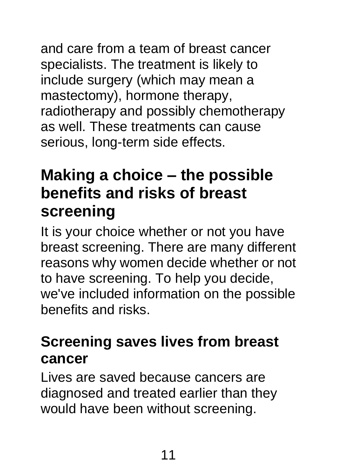and care from a team of breast cancer specialists. The treatment is likely to include surgery (which may mean a mastectomy), hormone therapy, radiotherapy and possibly chemotherapy as well. These treatments can cause serious, long-term side effects.

## **Making a choice – the possible benefits and risks of breast screening**

It is your choice whether or not you have breast screening. There are many different reasons why women decide whether or not to have screening. To help you decide, we've included information on the possible benefits and risks.

## **Screening saves lives from breast cancer**

Lives are saved because cancers are diagnosed and treated earlier than they would have been without screening.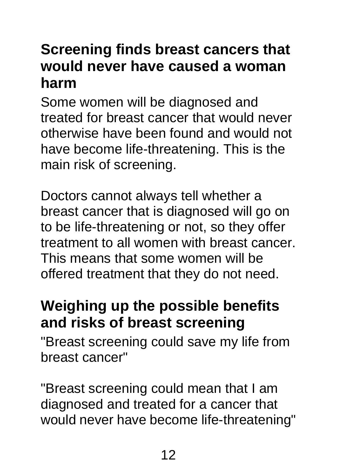#### **Screening finds breast cancers that would never have caused a woman harm**

Some women will be diagnosed and treated for breast cancer that would never otherwise have been found and would not have become life-threatening. This is the main risk of screening.

Doctors cannot always tell whether a breast cancer that is diagnosed will go on to be life-threatening or not, so they offer treatment to all women with breast cancer. This means that some women will be offered treatment that they do not need.

#### **Weighing up the possible benefits and risks of breast screening**

"Breast screening could save my life from breast cancer"

"Breast screening could mean that I am diagnosed and treated for a cancer that would never have become life-threatening"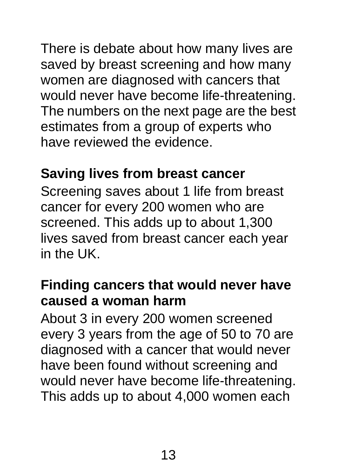There is debate about how many lives are saved by breast screening and how many women are diagnosed with cancers that would never have become life-threatening. The numbers on the next page are the best estimates from a group of experts who have reviewed the evidence.

#### **Saving lives from breast cancer**

Screening saves about 1 life from breast cancer for every 200 women who are screened. This adds up to about 1,300 lives saved from breast cancer each year in the UK.

#### **Finding cancers that would never have caused a woman harm**

About 3 in every 200 women screened every 3 years from the age of 50 to 70 are diagnosed with a cancer that would never have been found without screening and would never have become life-threatening. This adds up to about 4,000 women each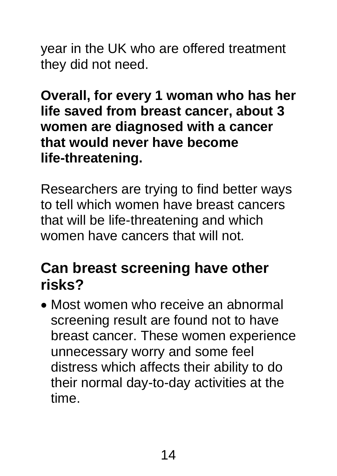year in the UK who are offered treatment they did not need.

**Overall, for every 1 woman who has her life saved from breast cancer, about 3 women are diagnosed with a cancer that would never have become life-threatening.** 

Researchers are trying to find better ways to tell which women have breast cancers that will be life-threatening and which women have cancers that will not.

#### **Can breast screening have other risks?**

• Most women who receive an abnormal screening result are found not to have breast cancer. These women experience unnecessary worry and some feel distress which affects their ability to do their normal day-to-day activities at the time.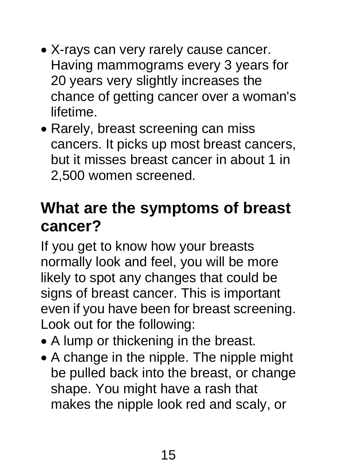- X-rays can very rarely cause cancer. Having mammograms every 3 years for 20 years very slightly increases the chance of getting cancer over a woman's lifetime.
- Rarely, breast screening can miss cancers. It picks up most breast cancers, but it misses breast cancer in about 1 in 2,500 women screened.

## **What are the symptoms of breast cancer?**

If you get to know how your breasts normally look and feel, you will be more likely to spot any changes that could be signs of breast cancer. This is important even if you have been for breast screening. Look out for the following:

- A lump or thickening in the breast.
- A change in the nipple. The nipple might be pulled back into the breast, or change shape. You might have a rash that makes the nipple look red and scaly, or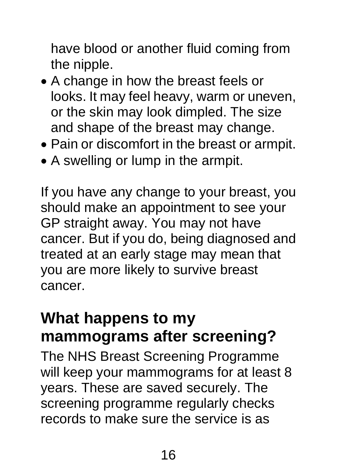have blood or another fluid coming from the nipple.

- A change in how the breast feels or looks. It may feel heavy, warm or uneven, or the skin may look dimpled. The size and shape of the breast may change.
- Pain or discomfort in the breast or armpit.
- A swelling or lump in the armpit.

If you have any change to your breast, you should make an appointment to see your GP straight away. You may not have cancer. But if you do, being diagnosed and treated at an early stage may mean that you are more likely to survive breast cancer.

#### **What happens to my mammograms after screening?**

The NHS Breast Screening Programme will keep your mammograms for at least 8 years. These are saved securely. The screening programme regularly checks records to make sure the service is as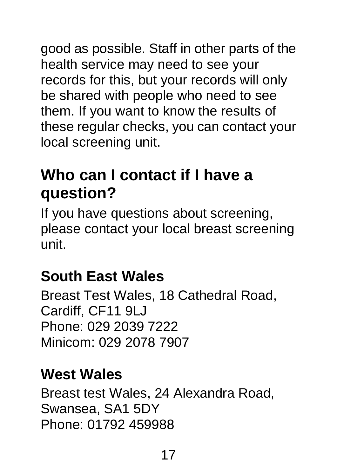good as possible. Staff in other parts of the health service may need to see your records for this, but your records will only be shared with people who need to see them. If you want to know the results of these regular checks, you can contact your local screening unit.

## **Who can I contact if I have a question?**

If you have questions about screening, please contact your local breast screening unit.

## **South East Wales**

Breast Test Wales, 18 Cathedral Road, Cardiff, CF11 9LJ Phone: 029 2039 7222 Minicom: 029 2078 7907

#### **West Wales**

Breast test Wales, 24 Alexandra Road, Swansea, SA1 5DY Phone: 01792 459988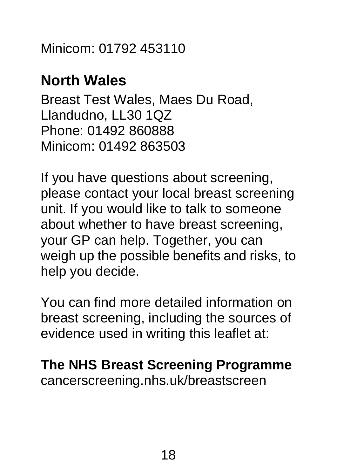Minicom: 01792 453110

#### **North Wales**

Breast Test Wales, Maes Du Road, Llandudno, LL30 1QZ Phone: 01492 860888 Minicom: 01492 863503

If you have questions about screening, please contact your local breast screening unit. If you would like to talk to someone about whether to have breast screening, your GP can help. Together, you can weigh up the possible benefits and risks, to help you decide.

You can find more detailed information on breast screening, including the sources of evidence used in writing this leaflet at:

**The NHS Breast Screening Programme** cancerscreening.nhs.uk/breastscreen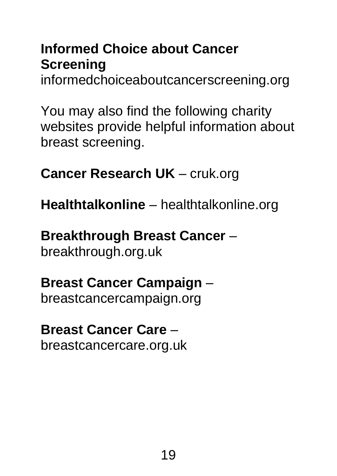#### **Informed Choice about Cancer Screening**

informedchoiceaboutcancerscreening.org

You may also find the following charity websites provide helpful information about breast screening.

**Cancer Research UK** – cruk.org

**Healthtalkonline** – healthtalkonline.org

## **Breakthrough Breast Cancer** –

breakthrough.org.uk

#### **Breast Cancer Campaign** – breastcancercampaign.org

#### **Breast Cancer Care** – breastcancercare.org.uk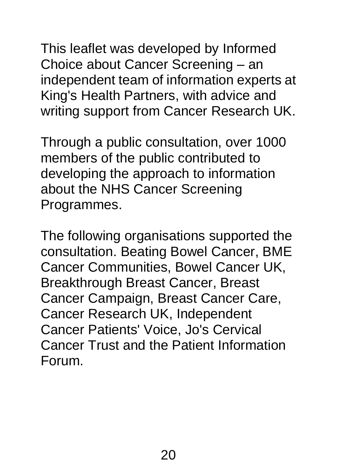This leaflet was developed by Informed Choice about Cancer Screening – an independent team of information experts at King's Health Partners, with advice and writing support from Cancer Research UK.

Through a public consultation, over 1000 members of the public contributed to developing the approach to information about the NHS Cancer Screening Programmes.

The following organisations supported the consultation. Beating Bowel Cancer, BME Cancer Communities, Bowel Cancer UK, Breakthrough Breast Cancer, Breast Cancer Campaign, Breast Cancer Care, Cancer Research UK, Independent Cancer Patients' Voice, Jo's Cervical Cancer Trust and the Patient Information Forum.